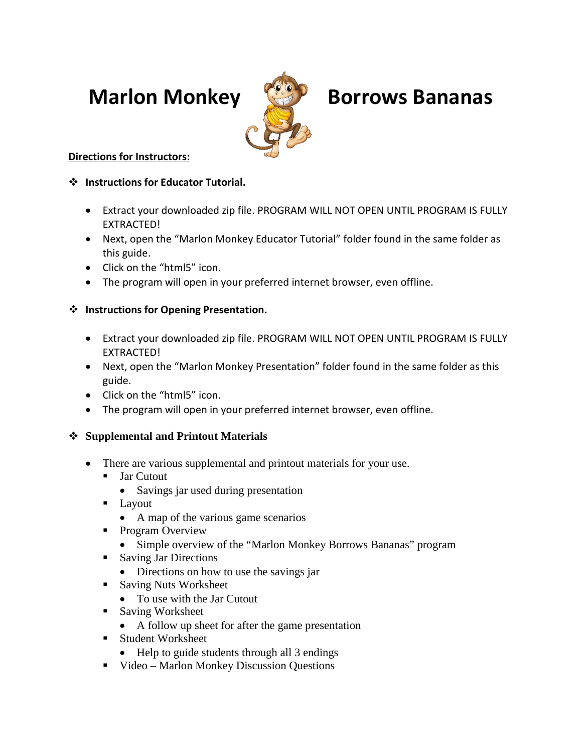

# **Marlon Monkey Borrows Bananas**

# **Directions for Instructors:**

### **Instructions for Educator Tutorial.**

- Extract your downloaded zip file. PROGRAM WILL NOT OPEN UNTIL PROGRAM IS FULLY EXTRACTED!
- Next, open the "Marlon Monkey Educator Tutorial" folder found in the same folder as this guide.
- Click on the "html5" icon.
- The program will open in your preferred internet browser, even offline.

# **Instructions for Opening Presentation.**

- Extract your downloaded zip file. PROGRAM WILL NOT OPEN UNTIL PROGRAM IS FULLY EXTRACTED!
- Next, open the "Marlon Monkey Presentation" folder found in the same folder as this guide.
- Click on the "html5" icon.
- The program will open in your preferred internet browser, even offline.

# **Supplemental and Printout Materials**

- There are various supplemental and printout materials for your use.
	- **Jar Cutout** 
		- Savings jar used during presentation
	- **Layout** 
		- A map of the various game scenarios
	- **Program Overview** 
		- Simple overview of the "Marlon Monkey Borrows Bananas" program
	- **Saving Jar Directions** 
		- Directions on how to use the savings jar
	- **Saving Nuts Worksheet** 
		- To use with the Jar Cutout
	- Saving Worksheet
		- A follow up sheet for after the game presentation
	- Student Worksheet
		- Help to guide students through all 3 endings
	- Video Marlon Monkey Discussion Questions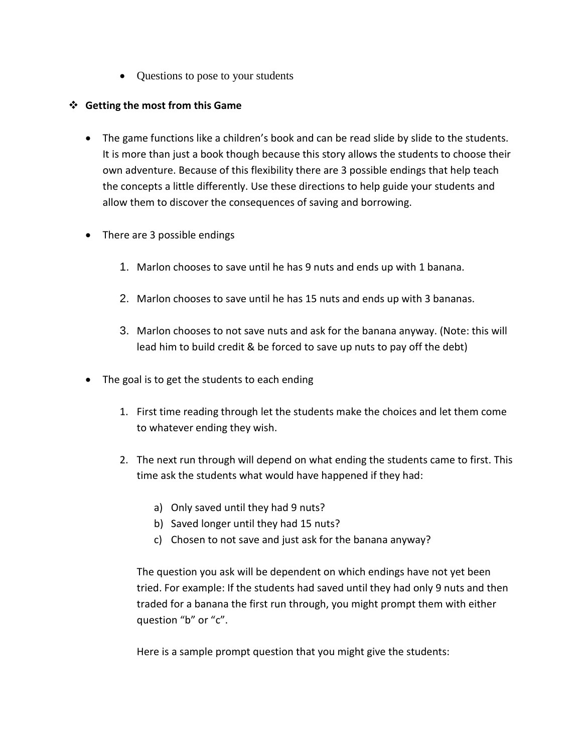• Questions to pose to your students

#### **Getting the most from this Game**

- The game functions like a children's book and can be read slide by slide to the students. It is more than just a book though because this story allows the students to choose their own adventure. Because of this flexibility there are 3 possible endings that help teach the concepts a little differently. Use these directions to help guide your students and allow them to discover the consequences of saving and borrowing.
- There are 3 possible endings
	- 1. Marlon chooses to save until he has 9 nuts and ends up with 1 banana.
	- 2. Marlon chooses to save until he has 15 nuts and ends up with 3 bananas.
	- 3. Marlon chooses to not save nuts and ask for the banana anyway. (Note: this will lead him to build credit & be forced to save up nuts to pay off the debt)
- The goal is to get the students to each ending
	- 1. First time reading through let the students make the choices and let them come to whatever ending they wish.
	- 2. The next run through will depend on what ending the students came to first. This time ask the students what would have happened if they had:
		- a) Only saved until they had 9 nuts?
		- b) Saved longer until they had 15 nuts?
		- c) Chosen to not save and just ask for the banana anyway?

The question you ask will be dependent on which endings have not yet been tried. For example: If the students had saved until they had only 9 nuts and then traded for a banana the first run through, you might prompt them with either question "b" or "c".

Here is a sample prompt question that you might give the students: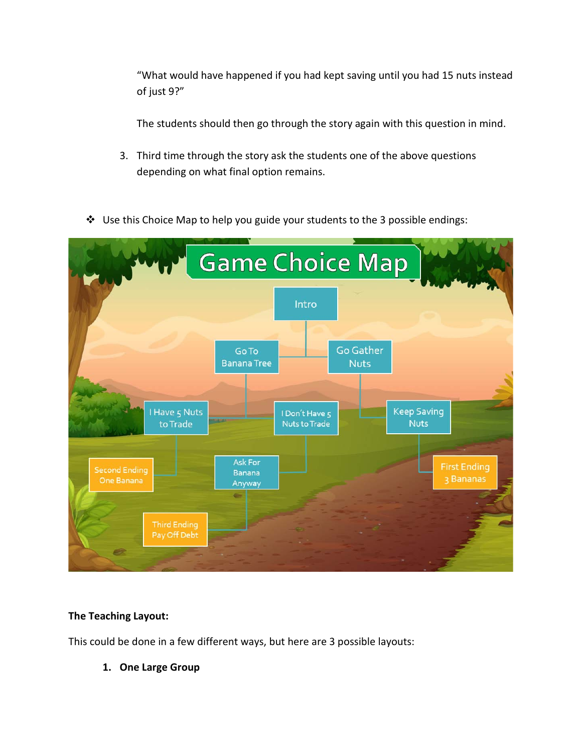"What would have happened if you had kept saving until you had 15 nuts instead of just 9?"

The students should then go through the story again with this question in mind.

- 3. Third time through the story ask the students one of the above questions depending on what final option remains.
- $\triangleq$  Use this Choice Map to help you guide your students to the 3 possible endings:



#### **The Teaching Layout:**

This could be done in a few different ways, but here are 3 possible layouts:

**1. One Large Group**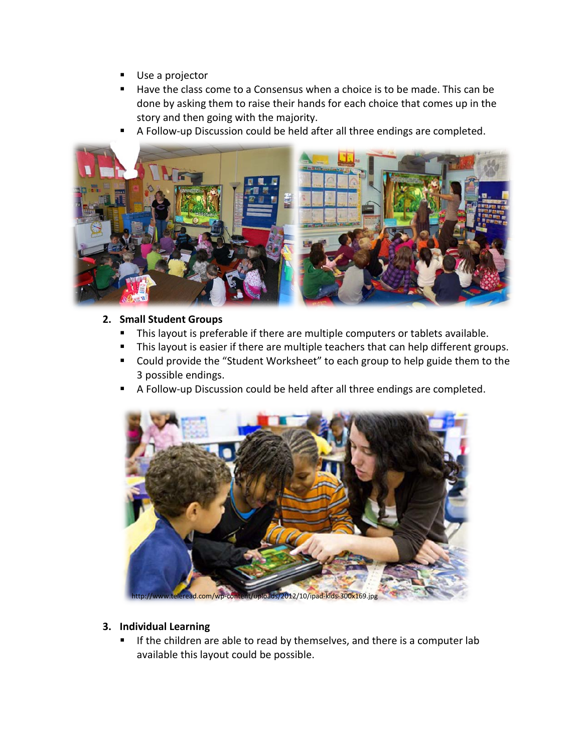- Use a projector
- Have the class come to a Consensus when a choice is to be made. This can be done by asking them to raise their hands for each choice that comes up in the story and then going with the majority.
- A Follow-up Discussion could be held after all three endings are completed.



#### **2. Small Student Groups**

- This layout is preferable if there are multiple computers or tablets available.
- **This layout is easier if there are multiple teachers that can help different groups.**
- Could provide the "Student Worksheet" to each group to help guide them to the 3 possible endings.
- A Follow-up Discussion could be held after all three endings are completed.



d.com/wp-content/uploads/2012/10/ipad-kids-300x169.jpg

#### **3. Individual Learning**

If the children are able to read by themselves, and there is a computer lab available this layout could be possible.